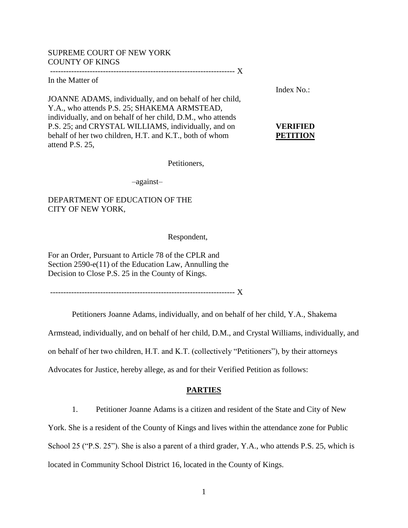## SUPREME COURT OF NEW YORK COUNTY OF KINGS

---------------------------------------------------------------------- X

## In the Matter of

JOANNE ADAMS, individually, and on behalf of her child, Y.A., who attends P.S. 25; SHAKEMA ARMSTEAD, individually, and on behalf of her child, D.M., who attends P.S. 25; and CRYSTAL WILLIAMS, individually, and on behalf of her two children, H.T. and K.T., both of whom attend P.S. 25,

Index No.:

## **VERIFIED PETITION**

Petitioners,

–against–

DEPARTMENT OF EDUCATION OF THE CITY OF NEW YORK,

Respondent,

For an Order, Pursuant to Article 78 of the CPLR and Section 2590-e(11) of the Education Law, Annulling the Decision to Close P.S. 25 in the County of Kings.

---------------------------------------------------------------------- X

Petitioners Joanne Adams, individually, and on behalf of her child, Y.A., Shakema

Armstead, individually, and on behalf of her child, D.M., and Crystal Williams, individually, and

on behalf of her two children, H.T. and K.T. (collectively "Petitioners"), by their attorneys

Advocates for Justice, hereby allege, as and for their Verified Petition as follows:

### **PARTIES**

1. Petitioner Joanne Adams is a citizen and resident of the State and City of New

York. She is a resident of the County of Kings and lives within the attendance zone for Public

School 25 ("P.S. 25"). She is also a parent of a third grader, Y.A., who attends P.S. 25, which is

located in Community School District 16, located in the County of Kings.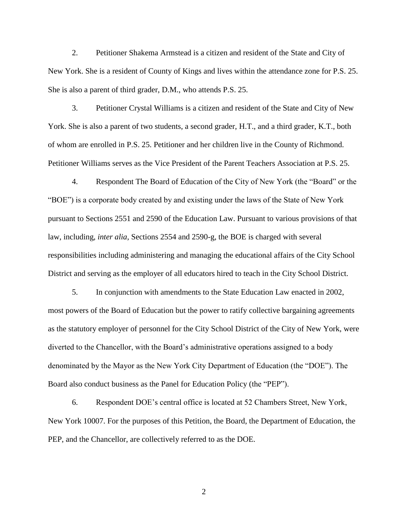2. Petitioner Shakema Armstead is a citizen and resident of the State and City of New York. She is a resident of County of Kings and lives within the attendance zone for P.S. 25. She is also a parent of third grader, D.M., who attends P.S. 25.

3. Petitioner Crystal Williams is a citizen and resident of the State and City of New York. She is also a parent of two students, a second grader, H.T., and a third grader, K.T., both of whom are enrolled in P.S. 25. Petitioner and her children live in the County of Richmond. Petitioner Williams serves as the Vice President of the Parent Teachers Association at P.S. 25.

4. Respondent The Board of Education of the City of New York (the "Board" or the "BOE") is a corporate body created by and existing under the laws of the State of New York pursuant to Sections 2551 and 2590 of the Education Law. Pursuant to various provisions of that law, including, *inter alia*, Sections 2554 and 2590-g, the BOE is charged with several responsibilities including administering and managing the educational affairs of the City School District and serving as the employer of all educators hired to teach in the City School District.

5. In conjunction with amendments to the State Education Law enacted in 2002, most powers of the Board of Education but the power to ratify collective bargaining agreements as the statutory employer of personnel for the City School District of the City of New York, were diverted to the Chancellor, with the Board's administrative operations assigned to a body denominated by the Mayor as the New York City Department of Education (the "DOE"). The Board also conduct business as the Panel for Education Policy (the "PEP").

6. Respondent DOE's central office is located at 52 Chambers Street, New York, New York 10007. For the purposes of this Petition, the Board, the Department of Education, the PEP, and the Chancellor, are collectively referred to as the DOE.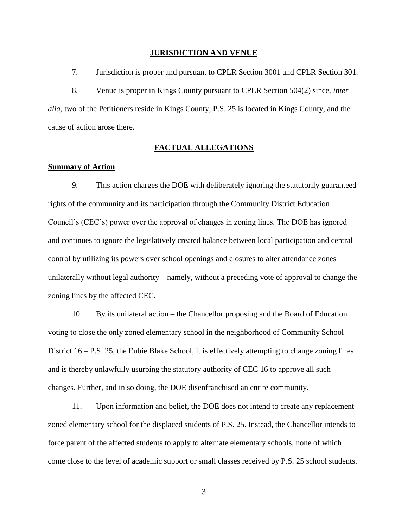#### **JURISDICTION AND VENUE**

7. Jurisdiction is proper and pursuant to CPLR Section 3001 and CPLR Section 301.

8. Venue is proper in Kings County pursuant to CPLR Section 504(2) since, *inter alia*, two of the Petitioners reside in Kings County, P.S. 25 is located in Kings County, and the cause of action arose there.

## **FACTUAL ALLEGATIONS**

#### **Summary of Action**

9. This action charges the DOE with deliberately ignoring the statutorily guaranteed rights of the community and its participation through the Community District Education Council's (CEC's) power over the approval of changes in zoning lines. The DOE has ignored and continues to ignore the legislatively created balance between local participation and central control by utilizing its powers over school openings and closures to alter attendance zones unilaterally without legal authority – namely, without a preceding vote of approval to change the zoning lines by the affected CEC.

10. By its unilateral action – the Chancellor proposing and the Board of Education voting to close the only zoned elementary school in the neighborhood of Community School District 16 – P.S. 25, the Eubie Blake School, it is effectively attempting to change zoning lines and is thereby unlawfully usurping the statutory authority of CEC 16 to approve all such changes. Further, and in so doing, the DOE disenfranchised an entire community.

11. Upon information and belief, the DOE does not intend to create any replacement zoned elementary school for the displaced students of P.S. 25. Instead, the Chancellor intends to force parent of the affected students to apply to alternate elementary schools, none of which come close to the level of academic support or small classes received by P.S. 25 school students.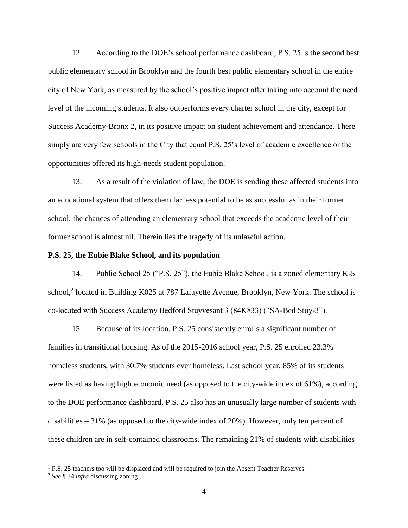12. According to the DOE's school performance dashboard, P.S. 25 is the second best public elementary school in Brooklyn and the fourth best public elementary school in the entire city of New York, as measured by the school's positive impact after taking into account the need level of the incoming students. It also outperforms every charter school in the city, except for Success Academy-Bronx 2, in its positive impact on student achievement and attendance. There simply are very few schools in the City that equal P.S. 25's level of academic excellence or the opportunities offered its high-needs student population.

13. As a result of the violation of law, the DOE is sending these affected students into an educational system that offers them far less potential to be as successful as in their former school; the chances of attending an elementary school that exceeds the academic level of their former school is almost nil. Therein lies the tragedy of its unlawful action.<sup>1</sup>

## **P.S. 25, the Eubie Blake School, and its population**

14. Public School 25 ("P.S. 25"), the Eubie Blake School, is a zoned elementary K-5 school,<sup>2</sup> located in Building K025 at 787 Lafayette Avenue, Brooklyn, New York. The school is co-located with Success Academy Bedford Stuyvesant 3 (84K833) ("SA-Bed Stuy-3").

15. Because of its location, P.S. 25 consistently enrolls a significant number of families in transitional housing. As of the 2015-2016 school year, P.S. 25 enrolled 23.3% homeless students, with 30.7% students ever homeless. Last school year, 85% of its students were listed as having high economic need (as opposed to the city-wide index of 61%), according to the DOE performance dashboard. P.S. 25 also has an unusually large number of students with disabilities – 31% (as opposed to the city-wide index of 20%). However, only ten percent of these children are in self-contained classrooms. The remaining 21% of students with disabilities

 $\overline{a}$ 

<sup>&</sup>lt;sup>1</sup> P.S. 25 teachers too will be displaced and will be required to join the Absent Teacher Reserves.

<sup>2</sup> *See* ¶ 34 *infra* discussing zoning.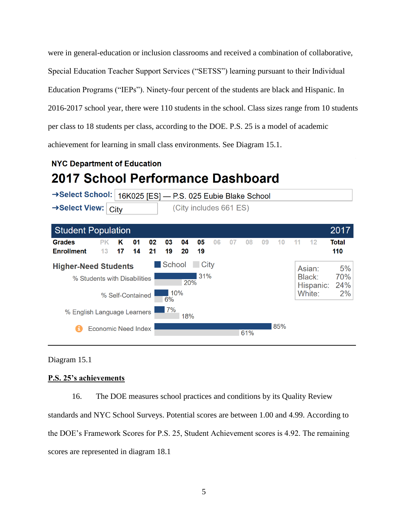were in general-education or inclusion classrooms and received a combination of collaborative, Special Education Teacher Support Services ("SETSS") learning pursuant to their Individual Education Programs ("IEPs"). Ninety-four percent of the students are black and Hispanic. In 2016-2017 school year, there were 110 students in the school. Class sizes range from 10 students per class to 18 students per class, according to the DOE. P.S. 25 is a model of academic achievement for learning in small class environments. See Diagram 15.1.

# **NYC Department of Education** 2017 School Performance Dashboard



Diagram 15.1

## **P.S. 25's achievements**

16. The DOE measures school practices and conditions by its Quality Review standards and NYC School Surveys. Potential scores are between 1.00 and 4.99. According to the DOE's Framework Scores for P.S. 25, Student Achievement scores is 4.92. The remaining scores are represented in diagram 18.1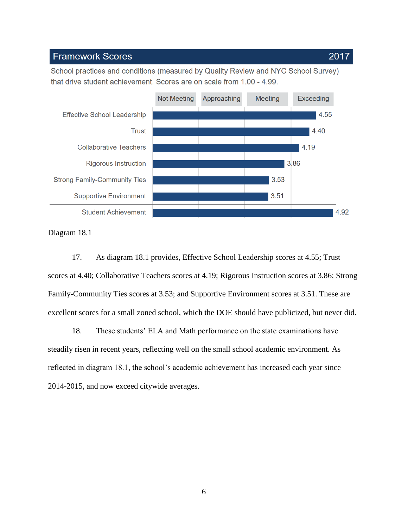# **Framework Scores**

School practices and conditions (measured by Quality Review and NYC School Survey) that drive student achievement. Scores are on scale from 1.00 - 4.99.



Diagram 18.1

17. As diagram 18.1 provides, Effective School Leadership scores at 4.55; Trust scores at 4.40; Collaborative Teachers scores at 4.19; Rigorous Instruction scores at 3.86; Strong Family-Community Ties scores at 3.53; and Supportive Environment scores at 3.51. These are excellent scores for a small zoned school, which the DOE should have publicized, but never did.

18. These students' ELA and Math performance on the state examinations have steadily risen in recent years, reflecting well on the small school academic environment. As reflected in diagram 18.1, the school's academic achievement has increased each year since 2014-2015, and now exceed citywide averages.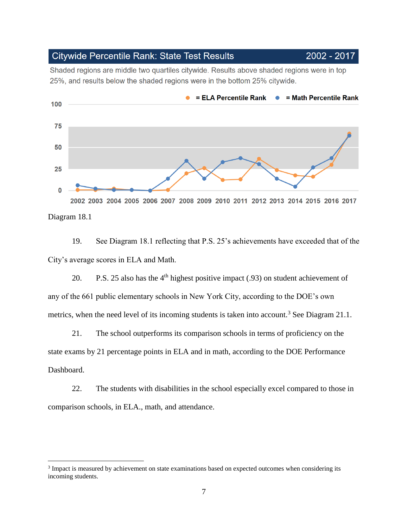## Citywide Percentile Rank: State Test Results

2002 - 2017

Shaded regions are middle two quartiles citywide. Results above shaded regions were in top 25%, and results below the shaded regions were in the bottom 25% citywide.



Diagram 18.1

 $\overline{a}$ 

19. See Diagram 18.1 reflecting that P.S. 25's achievements have exceeded that of the City's average scores in ELA and Math.

20. P.S. 25 also has the  $4<sup>th</sup>$  highest positive impact (.93) on student achievement of any of the 661 public elementary schools in New York City, according to the DOE's own metrics, when the need level of its incoming students is taken into account.<sup>3</sup> See Diagram 21.1.

21. The school outperforms its comparison schools in terms of proficiency on the state exams by 21 percentage points in ELA and in math, according to the DOE Performance Dashboard.

22. The students with disabilities in the school especially excel compared to those in comparison schools, in ELA., math, and attendance.

<sup>&</sup>lt;sup>3</sup> Impact is measured by achievement on state examinations based on expected outcomes when considering its incoming students.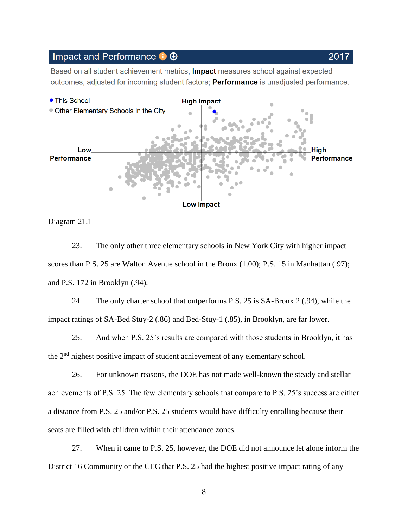## Impact and Performance i  $\odot$

Based on all student achievement metrics, **Impact** measures school against expected outcomes, adjusted for incoming student factors; **Performance** is unadjusted performance.



Diagram 21.1

23. The only other three elementary schools in New York City with higher impact scores than P.S. 25 are Walton Avenue school in the Bronx (1.00); P.S. 15 in Manhattan (.97); and P.S. 172 in Brooklyn (.94).

24. The only charter school that outperforms P.S. 25 is SA-Bronx 2 (.94), while the impact ratings of SA-Bed Stuy-2 (.86) and Bed-Stuy-1 (.85), in Brooklyn, are far lower.

25. And when P.S. 25's results are compared with those students in Brooklyn, it has the 2nd highest positive impact of student achievement of any elementary school.

26. For unknown reasons, the DOE has not made well-known the steady and stellar achievements of P.S. 25. The few elementary schools that compare to P.S. 25's success are either a distance from P.S. 25 and/or P.S. 25 students would have difficulty enrolling because their seats are filled with children within their attendance zones.

27. When it came to P.S. 25, however, the DOE did not announce let alone inform the District 16 Community or the CEC that P.S. 25 had the highest positive impact rating of any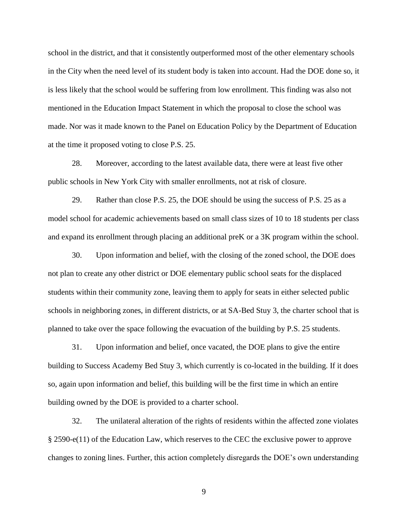school in the district, and that it consistently outperformed most of the other elementary schools in the City when the need level of its student body is taken into account. Had the DOE done so, it is less likely that the school would be suffering from low enrollment. This finding was also not mentioned in the Education Impact Statement in which the proposal to close the school was made. Nor was it made known to the Panel on Education Policy by the Department of Education at the time it proposed voting to close P.S. 25.

28. Moreover, according to the latest available data, there were at least five other public schools in New York City with smaller enrollments, not at risk of closure.

29. Rather than close P.S. 25, the DOE should be using the success of P.S. 25 as a model school for academic achievements based on small class sizes of 10 to 18 students per class and expand its enrollment through placing an additional preK or a 3K program within the school.

30. Upon information and belief, with the closing of the zoned school, the DOE does not plan to create any other district or DOE elementary public school seats for the displaced students within their community zone, leaving them to apply for seats in either selected public schools in neighboring zones, in different districts, or at SA-Bed Stuy 3, the charter school that is planned to take over the space following the evacuation of the building by P.S. 25 students.

31. Upon information and belief, once vacated, the DOE plans to give the entire building to Success Academy Bed Stuy 3, which currently is co-located in the building. If it does so, again upon information and belief, this building will be the first time in which an entire building owned by the DOE is provided to a charter school.

32. The unilateral alteration of the rights of residents within the affected zone violates § 2590-e(11) of the Education Law, which reserves to the CEC the exclusive power to approve changes to zoning lines. Further, this action completely disregards the DOE's own understanding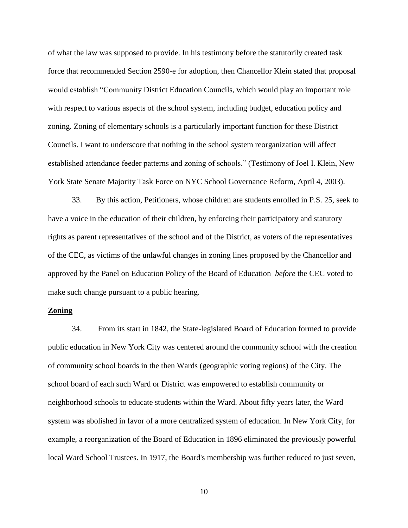of what the law was supposed to provide. In his testimony before the statutorily created task force that recommended Section 2590-e for adoption, then Chancellor Klein stated that proposal would establish "Community District Education Councils, which would play an important role with respect to various aspects of the school system, including budget, education policy and zoning. Zoning of elementary schools is a particularly important function for these District Councils. I want to underscore that nothing in the school system reorganization will affect established attendance feeder patterns and zoning of schools." (Testimony of Joel I. Klein, New York State Senate Majority Task Force on NYC School Governance Reform, April 4, 2003).

33. By this action, Petitioners, whose children are students enrolled in P.S. 25, seek to have a voice in the education of their children, by enforcing their participatory and statutory rights as parent representatives of the school and of the District, as voters of the representatives of the CEC, as victims of the unlawful changes in zoning lines proposed by the Chancellor and approved by the Panel on Education Policy of the Board of Education *before* the CEC voted to make such change pursuant to a public hearing.

#### **Zoning**

34. From its start in 1842, the State-legislated Board of Education formed to provide public education in New York City was centered around the community school with the creation of community school boards in the then Wards (geographic voting regions) of the City. The school board of each such Ward or District was empowered to establish community or neighborhood schools to educate students within the Ward. About fifty years later, the Ward system was abolished in favor of a more centralized system of education. In New York City, for example, a reorganization of the Board of Education in 1896 eliminated the previously powerful local Ward School Trustees. In 1917, the Board's membership was further reduced to just seven,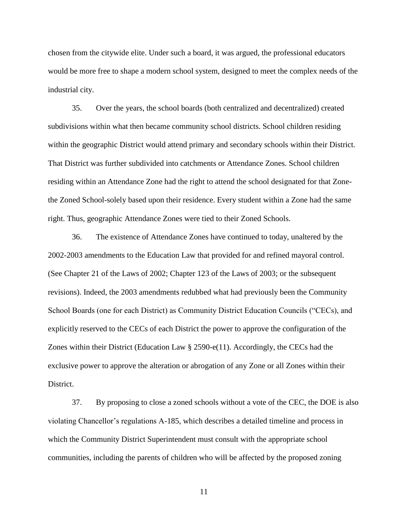chosen from the citywide elite. Under such a board, it was argued, the professional educators would be more free to shape a modern school system, designed to meet the complex needs of the industrial city.

35. Over the years, the school boards (both centralized and decentralized) created subdivisions within what then became community school districts. School children residing within the geographic District would attend primary and secondary schools within their District. That District was further subdivided into catchments or Attendance Zones. School children residing within an Attendance Zone had the right to attend the school designated for that Zonethe Zoned School-solely based upon their residence. Every student within a Zone had the same right. Thus, geographic Attendance Zones were tied to their Zoned Schools.

36. The existence of Attendance Zones have continued to today, unaltered by the 2002-2003 amendments to the Education Law that provided for and refined mayoral control. (See Chapter 21 of the Laws of 2002; Chapter 123 of the Laws of 2003; or the subsequent revisions). Indeed, the 2003 amendments redubbed what had previously been the Community School Boards (one for each District) as Community District Education Councils ("CECs), and explicitly reserved to the CECs of each District the power to approve the configuration of the Zones within their District (Education Law § 2590-e(11). Accordingly, the CECs had the exclusive power to approve the alteration or abrogation of any Zone or all Zones within their District.

37. By proposing to close a zoned schools without a vote of the CEC, the DOE is also violating Chancellor's regulations A-185, which describes a detailed timeline and process in which the Community District Superintendent must consult with the appropriate school communities, including the parents of children who will be affected by the proposed zoning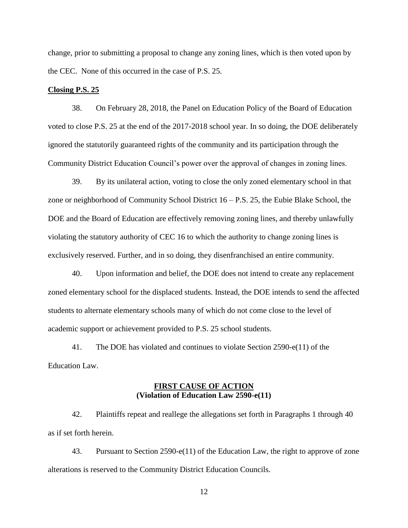change, prior to submitting a proposal to change any zoning lines, which is then voted upon by the CEC. None of this occurred in the case of P.S. 25.

#### **Closing P.S. 25**

38. On February 28, 2018, the Panel on Education Policy of the Board of Education voted to close P.S. 25 at the end of the 2017-2018 school year. In so doing, the DOE deliberately ignored the statutorily guaranteed rights of the community and its participation through the Community District Education Council's power over the approval of changes in zoning lines.

39. By its unilateral action, voting to close the only zoned elementary school in that zone or neighborhood of Community School District 16 – P.S. 25, the Eubie Blake School, the DOE and the Board of Education are effectively removing zoning lines, and thereby unlawfully violating the statutory authority of CEC 16 to which the authority to change zoning lines is exclusively reserved. Further, and in so doing, they disenfranchised an entire community.

40. Upon information and belief, the DOE does not intend to create any replacement zoned elementary school for the displaced students. Instead, the DOE intends to send the affected students to alternate elementary schools many of which do not come close to the level of academic support or achievement provided to P.S. 25 school students.

41. The DOE has violated and continues to violate Section 2590-e(11) of the Education Law.

## **FIRST CAUSE OF ACTION (Violation of Education Law 2590-e(11)**

42. Plaintiffs repeat and reallege the allegations set forth in Paragraphs 1 through 40 as if set forth herein.

43. Pursuant to Section 2590-e(11) of the Education Law, the right to approve of zone alterations is reserved to the Community District Education Councils.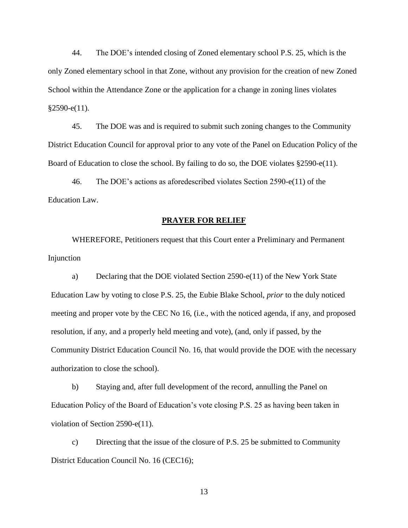44. The DOE's intended closing of Zoned elementary school P.S. 25, which is the only Zoned elementary school in that Zone, without any provision for the creation of new Zoned School within the Attendance Zone or the application for a change in zoning lines violates  $§2590-e(11).$ 

45. The DOE was and is required to submit such zoning changes to the Community District Education Council for approval prior to any vote of the Panel on Education Policy of the Board of Education to close the school. By failing to do so, the DOE violates §2590-e(11).

46. The DOE's actions as aforedescribed violates Section 2590-e(11) of the Education Law.

#### **PRAYER FOR RELIEF**

WHEREFORE, Petitioners request that this Court enter a Preliminary and Permanent Injunction

a) Declaring that the DOE violated Section 2590-e(11) of the New York State Education Law by voting to close P.S. 25, the Eubie Blake School, *prior* to the duly noticed meeting and proper vote by the CEC No 16, (i.e., with the noticed agenda, if any, and proposed resolution, if any, and a properly held meeting and vote), (and, only if passed, by the Community District Education Council No. 16, that would provide the DOE with the necessary authorization to close the school).

b) Staying and, after full development of the record, annulling the Panel on Education Policy of the Board of Education's vote closing P.S. 25 as having been taken in violation of Section 2590-e(11).

c) Directing that the issue of the closure of P.S. 25 be submitted to Community District Education Council No. 16 (CEC16);